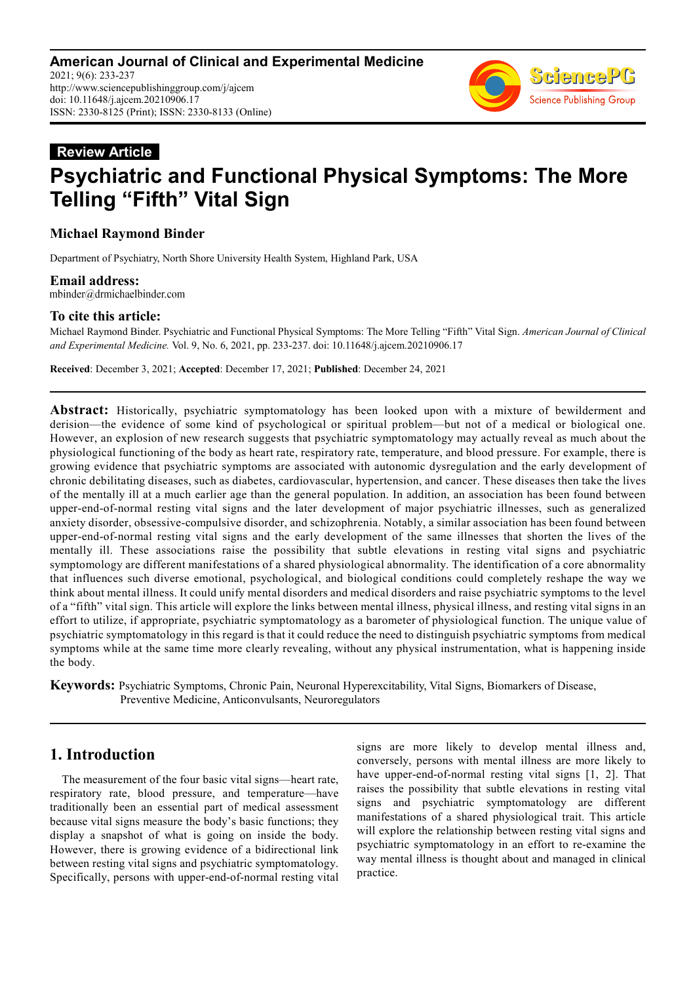

#### **Review Article**

# **Psychiatric and Functional Physical Symptoms: The More Telling "Fifth" Vital Sign**

#### **Michael Raymond Binder**

Department of Psychiatry, North Shore University Health System, Highland Park, USA

**Email address:**<br>mbinder@drmichaelbinder.com

#### **To cite this article:**

Michael Raymond Binder. Psychiatric and Functional Physical Symptoms: The More Telling "Fifth" Vital Sign. *American Journal of Clinical and Experimental Medicine.* Vol. 9, No. 6, 2021, pp. 233-237. doi: 10.11648/j.ajcem.20210906.17

**Received**: December 3, 2021; **Accepted**: December 17, 2021; **Published**: December 24, 2021

**Abstract:** Historically, psychiatric symptomatology has been looked upon with a mixture of bewilderment and derision—the evidence of some kind of psychological or spiritual problem—but not of a medical or biological one. However, an explosion of new research suggests that psychiatric symptomatology may actually reveal as much about the physiological functioning of the body as heart rate, respiratory rate, temperature, and blood pressure. For example, there is growing evidence that psychiatric symptoms are associated with autonomic dysregulation and the early development of chronic debilitating diseases, such as diabetes, cardiovascular, hypertension, and cancer. These diseases then take the lives of the mentally ill at a much earlier age than the general population. In addition, an association has been found between upper-end-of-normal resting vital signs and the later development of major psychiatric illnesses, such as generalized anxiety disorder, obsessive-compulsive disorder, and schizophrenia. Notably, a similar association has been found between upper-end-of-normal resting vital signs and the early development of the same illnesses that shorten the lives of the mentally ill. These associations raise the possibility that subtle elevations in resting vital signs and psychiatric symptomology are different manifestations of a shared physiological abnormality. The identification of a core abnormality that influences such diverse emotional, psychological, and biological conditions could completely reshape the way we think about mental illness. It could unify mental disorders and medical disorders and raise psychiatric symptoms to the level of a "fifth" vital sign. This article will explore the links between mental illness, physical illness, and resting vital signs in an effort to utilize, if appropriate, psychiatric symptomatology as a barometer of physiological function. The unique value of psychiatric symptomatology in this regard is that it could reduce the need to distinguish psychiatric symptoms from medical symptoms while at the same time more clearly revealing, without any physical instrumentation, what is happening inside the body.

**Keywords:** Psychiatric Symptoms, Chronic Pain, Neuronal Hyperexcitability, Vital Signs, Biomarkers of Disease, Preventive Medicine, Anticonvulsants, Neuroregulators

## **1. Introduction**

The measurement of the four basic vital signs—heart rate, respiratory rate, blood pressure, and temperature—have traditionally been an essential part of medical assessment because vital signs measure the body's basic functions; they display a snapshot of what is going on inside the body. However, there is growing evidence of a bidirectional link between resting vital signs and psychiatric symptomatology. Specifically, persons with upper-end-of-normal resting vital signs are more likely to develop mental illness and, conversely, persons with mental illness are more likely to have upper-end-of-normal resting vital signs [1, 2]. That raises the possibility that subtle elevations in resting vital signs and psychiatric symptomatology are different manifestations of a shared physiological trait. This article will explore the relationship between resting vital signs and psychiatric symptomatology in an effort to re-examine the way mental illness is thought about and managed in clinical practice.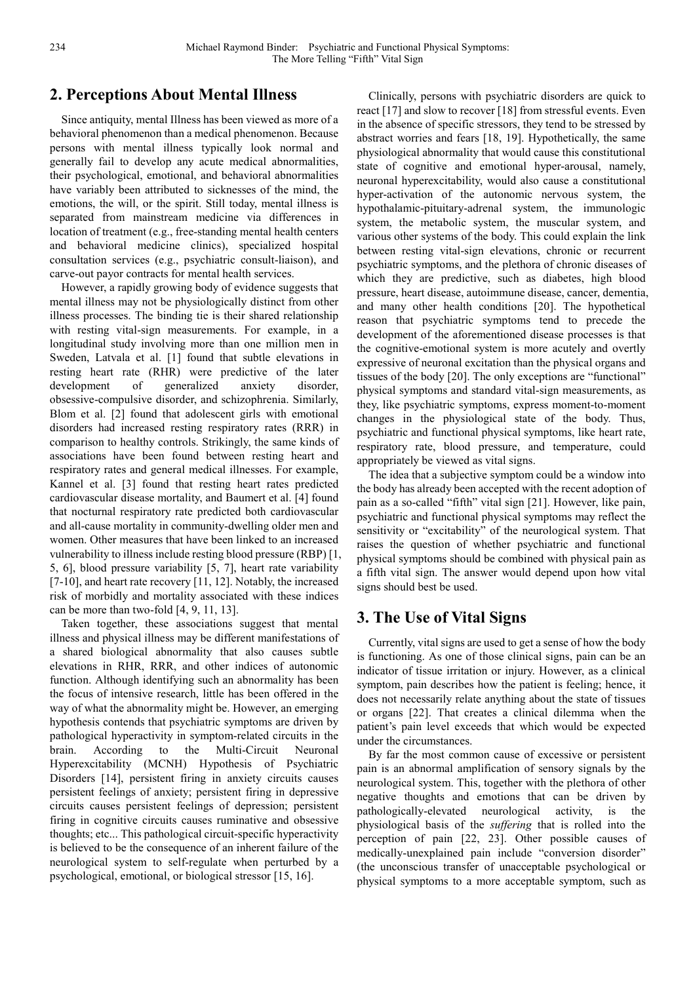# **2. Perceptions About Mental Illness**

Since antiquity, mental Illness has been viewed as more of a behavioral phenomenon than a medical phenomenon. Because persons with mental illness typically look normal and generally fail to develop any acute medical abnormalities, their psychological, emotional, and behavioral abnormalities have variably been attributed to sicknesses of the mind, the emotions, the will, or the spirit. Still today, mental illness is separated from mainstream medicine via differences in location of treatment (e.g., free-standing mental health centers and behavioral medicine clinics), specialized hospital consultation services (e.g., psychiatric consult-liaison), and carve-out payor contracts for mental health services.

However, a rapidly growing body of evidence suggests that mental illness may not be physiologically distinct from other illness processes. The binding tie is their shared relationship with resting vital-sign measurements. For example, in a longitudinal study involving more than one million men in Sweden, Latvala et al. [1] found that subtle elevations in resting heart rate (RHR) were predictive of the later development of generalized anxiety disorder, obsessive-compulsive disorder, and schizophrenia. Similarly, Blom et al. [2] found that adolescent girls with emotional disorders had increased resting respiratory rates (RRR) in comparison to healthy controls. Strikingly, the same kinds of associations have been found between resting heart and respiratory rates and general medical illnesses. For example, Kannel et al. [3] found that resting heart rates predicted cardiovascular disease mortality, and Baumert et al. [4] found that nocturnal respiratory rate predicted both cardiovascular and all-cause mortality in community-dwelling older men and women. Other measures that have been linked to an increased vulnerability to illness include resting blood pressure (RBP) [1, 5, 6], blood pressure variability [5, 7], heart rate variability [7-10], and heart rate recovery [11, 12]. Notably, the increased risk of morbidly and mortality associated with these indices can be more than two-fold [4, 9, 11, 13].

Taken together, these associations suggest that mental illness and physical illness may be different manifestations of a shared biological abnormality that also causes subtle elevations in RHR, RRR, and other indices of autonomic function. Although identifying such an abnormality has been the focus of intensive research, little has been offered in the way of what the abnormality might be. However, an emerging hypothesis contends that psychiatric symptoms are driven by pathological hyperactivity in symptom-related circuits in the brain. According to the Multi-Circuit Neuronal Hyperexcitability (MCNH) Hypothesis of Psychiatric Disorders [14], persistent firing in anxiety circuits causes persistent feelings of anxiety; persistent firing in depressive circuits causes persistent feelings of depression; persistent firing in cognitive circuits causes ruminative and obsessive thoughts; etc... This pathological circuit-specific hyperactivity is believed to be the consequence of an inherent failure of the neurological system to self-regulate when perturbed by a psychological, emotional, or biological stressor [15, 16].

Clinically, persons with psychiatric disorders are quick to react [17] and slow to recover [18] from stressful events. Even in the absence of specific stressors, they tend to be stressed by abstract worries and fears [18, 19]. Hypothetically, the same physiological abnormality that would cause this constitutional state of cognitive and emotional hyper-arousal, namely, neuronal hyperexcitability, would also cause a constitutional hyper-activation of the autonomic nervous system, the hypothalamic-pituitary-adrenal system, the immunologic system, the metabolic system, the muscular system, and various other systems of the body. This could explain the link between resting vital-sign elevations, chronic or recurrent psychiatric symptoms, and the plethora of chronic diseases of which they are predictive, such as diabetes, high blood pressure, heart disease, autoimmune disease, cancer, dementia, and many other health conditions [20]. The hypothetical reason that psychiatric symptoms tend to precede the development of the aforementioned disease processes is that the cognitive-emotional system is more acutely and overtly expressive of neuronal excitation than the physical organs and tissues of the body [20]. The only exceptions are "functional" physical symptoms and standard vital-sign measurements, as they, like psychiatric symptoms, express moment-to-moment changes in the physiological state of the body. Thus, psychiatric and functional physical symptoms, like heart rate, respiratory rate, blood pressure, and temperature, could appropriately be viewed as vital signs.

The idea that a subjective symptom could be a window into the body has already been accepted with the recent adoption of pain as a so-called "fifth" vital sign [21]. However, like pain, psychiatric and functional physical symptoms may reflect the sensitivity or "excitability" of the neurological system. That raises the question of whether psychiatric and functional physical symptoms should be combined with physical pain as a fifth vital sign. The answer would depend upon how vital signs should best be used.

## **3. The Use of Vital Signs**

Currently, vital signs are used to get a sense of how the body is functioning. As one of those clinical signs, pain can be an indicator of tissue irritation or injury. However, as a clinical symptom, pain describes how the patient is feeling; hence, it does not necessarily relate anything about the state of tissues or organs [22]. That creates a clinical dilemma when the patient's pain level exceeds that which would be expected under the circumstances.

By far the most common cause of excessive or persistent pain is an abnormal amplification of sensory signals by the neurological system. This, together with the plethora of other negative thoughts and emotions that can be driven by pathologically-elevated neurological activity, is the physiological basis of the *suffering* that is rolled into the perception of pain [22, 23]. Other possible causes of medically-unexplained pain include "conversion disorder" (the unconscious transfer of unacceptable psychological or physical symptoms to a more acceptable symptom, such as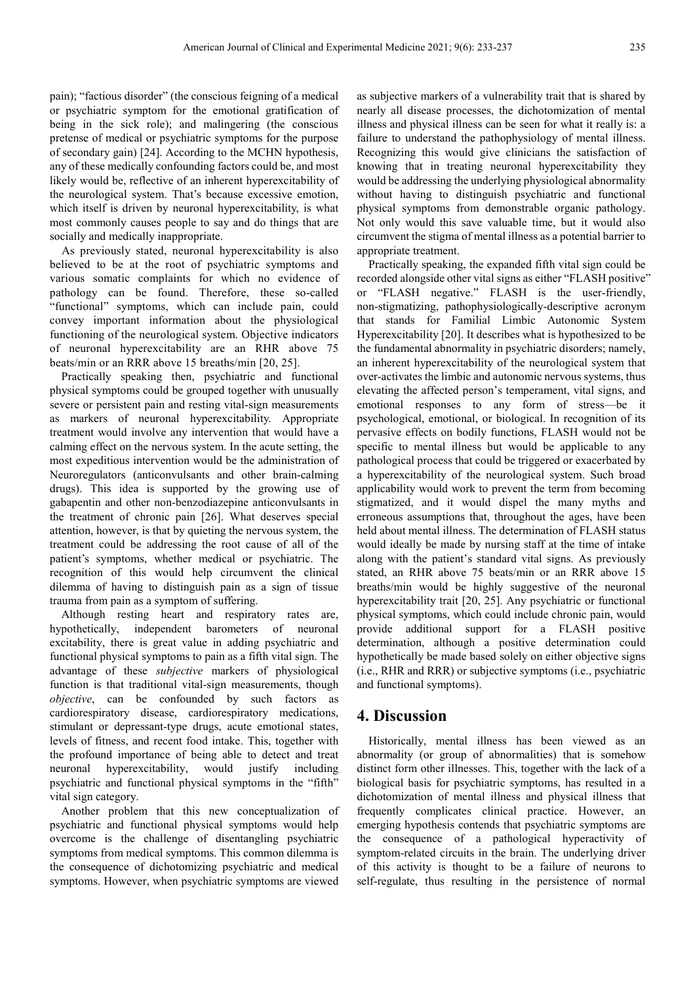pain); "factious disorder" (the conscious feigning of a medical or psychiatric symptom for the emotional gratification of being in the sick role); and malingering (the conscious pretense of medical or psychiatric symptoms for the purpose of secondary gain) [24]. According to the MCHN hypothesis, any of these medically confounding factors could be, and most likely would be, reflective of an inherent hyperexcitability of the neurological system. That's because excessive emotion, which itself is driven by neuronal hyperexcitability, is what most commonly causes people to say and do things that are socially and medically inappropriate.

As previously stated, neuronal hyperexcitability is also believed to be at the root of psychiatric symptoms and various somatic complaints for which no evidence of pathology can be found. Therefore, these so-called "functional" symptoms, which can include pain, could convey important information about the physiological functioning of the neurological system. Objective indicators of neuronal hyperexcitability are an RHR above 75 beats/min or an RRR above 15 breaths/min [20, 25].

Practically speaking then, psychiatric and functional physical symptoms could be grouped together with unusually severe or persistent pain and resting vital-sign measurements as markers of neuronal hyperexcitability. Appropriate treatment would involve any intervention that would have a calming effect on the nervous system. In the acute setting, the most expeditious intervention would be the administration of Neuroregulators (anticonvulsants and other brain-calming drugs). This idea is supported by the growing use of gabapentin and other non-benzodiazepine anticonvulsants in the treatment of chronic pain [26]. What deserves special attention, however, is that by quieting the nervous system, the treatment could be addressing the root cause of all of the patient's symptoms, whether medical or psychiatric. The recognition of this would help circumvent the clinical dilemma of having to distinguish pain as a sign of tissue trauma from pain as a symptom of suffering.

Although resting heart and respiratory rates are, hypothetically, independent barometers of neuronal excitability, there is great value in adding psychiatric and functional physical symptoms to pain as a fifth vital sign. The advantage of these *subjective* markers of physiological function is that traditional vital-sign measurements, though *objective*, can be confounded by such factors as cardiorespiratory disease, cardiorespiratory medications, stimulant or depressant-type drugs, acute emotional states, levels of fitness, and recent food intake. This, together with the profound importance of being able to detect and treat neuronal hyperexcitability, would justify including psychiatric and functional physical symptoms in the "fifth" vital sign category.

Another problem that this new conceptualization of psychiatric and functional physical symptoms would help overcome is the challenge of disentangling psychiatric symptoms from medical symptoms. This common dilemma is the consequence of dichotomizing psychiatric and medical symptoms. However, when psychiatric symptoms are viewed as subjective markers of a vulnerability trait that is shared by nearly all disease processes, the dichotomization of mental illness and physical illness can be seen for what it really is: a failure to understand the pathophysiology of mental illness. Recognizing this would give clinicians the satisfaction of knowing that in treating neuronal hyperexcitability they would be addressing the underlying physiological abnormality without having to distinguish psychiatric and functional physical symptoms from demonstrable organic pathology. Not only would this save valuable time, but it would also circumvent the stigma of mental illness as a potential barrier to appropriate treatment.

Practically speaking, the expanded fifth vital sign could be recorded alongside other vital signs as either "FLASH positive" or "FLASH negative." FLASH is the user-friendly, non-stigmatizing, pathophysiologically-descriptive acronym that stands for Familial Limbic Autonomic System Hyperexcitability [20]. It describes what is hypothesized to be the fundamental abnormality in psychiatric disorders; namely, an inherent hyperexcitability of the neurological system that over-activates the limbic and autonomic nervous systems, thus elevating the affected person's temperament, vital signs, and emotional responses to any form of stress—be it psychological, emotional, or biological. In recognition of its pervasive effects on bodily functions, FLASH would not be specific to mental illness but would be applicable to any pathological process that could be triggered or exacerbated by a hyperexcitability of the neurological system. Such broad applicability would work to prevent the term from becoming stigmatized, and it would dispel the many myths and erroneous assumptions that, throughout the ages, have been held about mental illness. The determination of FLASH status would ideally be made by nursing staff at the time of intake along with the patient's standard vital signs. As previously stated, an RHR above 75 beats/min or an RRR above 15 breaths/min would be highly suggestive of the neuronal hyperexcitability trait [20, 25]. Any psychiatric or functional physical symptoms, which could include chronic pain, would provide additional support for a FLASH positive determination, although a positive determination could hypothetically be made based solely on either objective signs (i.e., RHR and RRR) or subjective symptoms (i.e., psychiatric and functional symptoms).

#### **4. Discussion**

Historically, mental illness has been viewed as an abnormality (or group of abnormalities) that is somehow distinct form other illnesses. This, together with the lack of a biological basis for psychiatric symptoms, has resulted in a dichotomization of mental illness and physical illness that frequently complicates clinical practice. However, an emerging hypothesis contends that psychiatric symptoms are the consequence of a pathological hyperactivity of symptom-related circuits in the brain. The underlying driver of this activity is thought to be a failure of neurons to self-regulate, thus resulting in the persistence of normal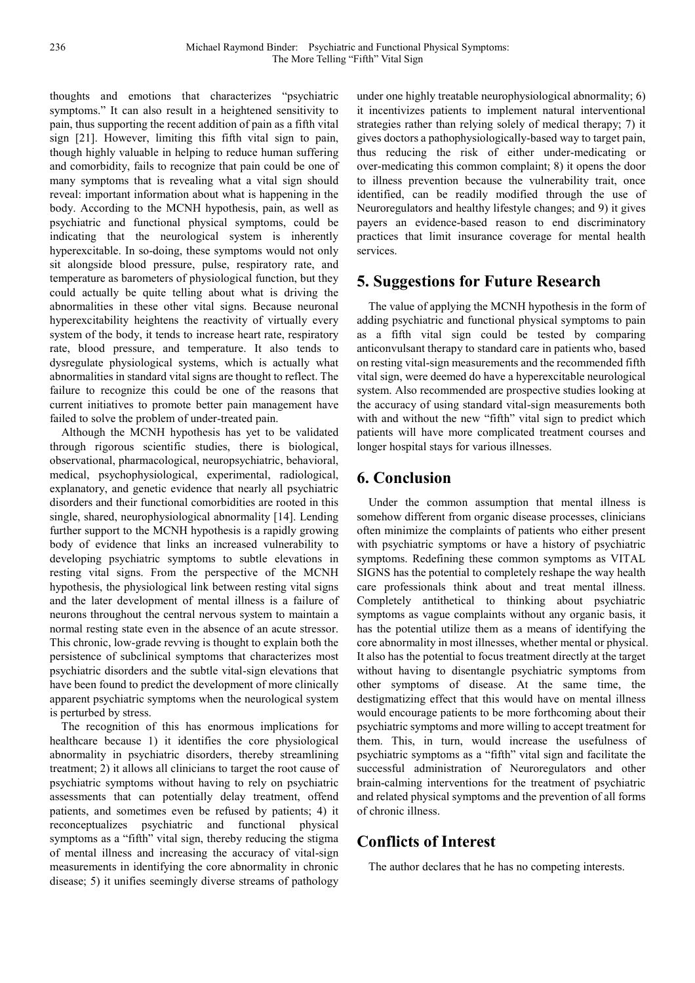thoughts and emotions that characterizes "psychiatric symptoms." It can also result in a heightened sensitivity to pain, thus supporting the recent addition of pain as a fifth vital sign [21]. However, limiting this fifth vital sign to pain, though highly valuable in helping to reduce human suffering and comorbidity, fails to recognize that pain could be one of many symptoms that is revealing what a vital sign should reveal: important information about what is happening in the body. According to the MCNH hypothesis, pain, as well as psychiatric and functional physical symptoms, could be indicating that the neurological system is inherently hyperexcitable. In so-doing, these symptoms would not only sit alongside blood pressure, pulse, respiratory rate, and temperature as barometers of physiological function, but they could actually be quite telling about what is driving the abnormalities in these other vital signs. Because neuronal hyperexcitability heightens the reactivity of virtually every system of the body, it tends to increase heart rate, respiratory rate, blood pressure, and temperature. It also tends to dysregulate physiological systems, which is actually what abnormalities in standard vital signs are thought to reflect. The failure to recognize this could be one of the reasons that current initiatives to promote better pain management have failed to solve the problem of under-treated pain.

Although the MCNH hypothesis has yet to be validated through rigorous scientific studies, there is biological, observational, pharmacological, neuropsychiatric, behavioral, medical, psychophysiological, experimental, radiological, explanatory, and genetic evidence that nearly all psychiatric disorders and their functional comorbidities are rooted in this single, shared, neurophysiological abnormality [14]. Lending further support to the MCNH hypothesis is a rapidly growing body of evidence that links an increased vulnerability to developing psychiatric symptoms to subtle elevations in resting vital signs. From the perspective of the MCNH hypothesis, the physiological link between resting vital signs and the later development of mental illness is a failure of neurons throughout the central nervous system to maintain a normal resting state even in the absence of an acute stressor. This chronic, low-grade revving is thought to explain both the persistence of subclinical symptoms that characterizes most psychiatric disorders and the subtle vital-sign elevations that have been found to predict the development of more clinically apparent psychiatric symptoms when the neurological system is perturbed by stress.

The recognition of this has enormous implications for healthcare because 1) it identifies the core physiological abnormality in psychiatric disorders, thereby streamlining treatment; 2) it allows all clinicians to target the root cause of psychiatric symptoms without having to rely on psychiatric assessments that can potentially delay treatment, offend patients, and sometimes even be refused by patients; 4) it reconceptualizes psychiatric and functional physical symptoms as a "fifth" vital sign, thereby reducing the stigma of mental illness and increasing the accuracy of vital-sign measurements in identifying the core abnormality in chronic disease; 5) it unifies seemingly diverse streams of pathology under one highly treatable neurophysiological abnormality; 6) it incentivizes patients to implement natural interventional strategies rather than relying solely of medical therapy; 7) it gives doctors a pathophysiologically-based way to target pain, thus reducing the risk of either under-medicating or over-medicating this common complaint; 8) it opens the door to illness prevention because the vulnerability trait, once identified, can be readily modified through the use of Neuroregulators and healthy lifestyle changes; and 9) it gives payers an evidence-based reason to end discriminatory practices that limit insurance coverage for mental health services.

# **5. Suggestions for Future Research**

The value of applying the MCNH hypothesis in the form of adding psychiatric and functional physical symptoms to pain as a fifth vital sign could be tested by comparing anticonvulsant therapy to standard care in patients who, based on resting vital-sign measurements and the recommended fifth vital sign, were deemed do have a hyperexcitable neurological system. Also recommended are prospective studies looking at the accuracy of using standard vital-sign measurements both with and without the new "fifth" vital sign to predict which patients will have more complicated treatment courses and longer hospital stays for various illnesses.

# **6. Conclusion**

Under the common assumption that mental illness is somehow different from organic disease processes, clinicians often minimize the complaints of patients who either present with psychiatric symptoms or have a history of psychiatric symptoms. Redefining these common symptoms as VITAL SIGNS has the potential to completely reshape the way health care professionals think about and treat mental illness. Completely antithetical to thinking about psychiatric symptoms as vague complaints without any organic basis, it has the potential utilize them as a means of identifying the core abnormality in most illnesses, whether mental or physical. It also has the potential to focus treatment directly at the target without having to disentangle psychiatric symptoms from other symptoms of disease. At the same time, the destigmatizing effect that this would have on mental illness would encourage patients to be more forthcoming about their psychiatric symptoms and more willing to accept treatment for them. This, in turn, would increase the usefulness of psychiatric symptoms as a "fifth" vital sign and facilitate the successful administration of Neuroregulators and other brain-calming interventions for the treatment of psychiatric and related physical symptoms and the prevention of all forms of chronic illness.

# **Conflicts of Interest**

The author declares that he has no competing interests.